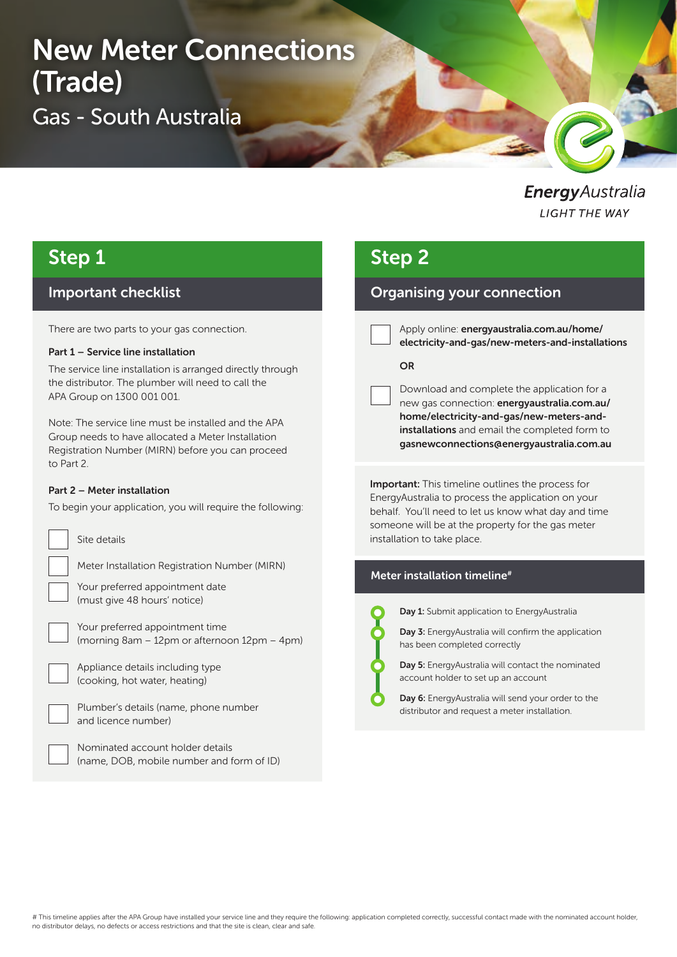# New Meter Connections (Trade) Gas - South Australia

EnergyAustralia **LIGHT THE WAY** 

### Step 1

### Important checklist

There are two parts to your gas connection.

#### Part 1 – Service line installation

The service line installation is arranged directly through the distributor. The plumber will need to call the APA Group on 1300 001 001.

Note: The service line must be installed and the APA Group needs to have allocated a Meter Installation Registration Number (MIRN) before you can proceed to Part 2.

#### Part 2 – Meter installation

To begin your application, you will require the following:



Site details

Meter Installation Registration Number (MIRN)

Your preferred appointment date (must give 48 hours' notice)

Your preferred appointment time (morning 8am – 12pm or afternoon 12pm – 4pm)

Appliance details including type (cooking, hot water, heating)



Plumber's details (name, phone number and licence number)

Nominated account holder details (name, DOB, mobile number and form of ID)

## Step 2

### Organising your connection

Apply online: energyaustralia.com.au/home/ electricity-and-gas/new-meters-and-installations

#### **OR**

Download and complete the application for a new gas connection: energyaustralia.com.au/ home/electricity-and-gas/new-meters-andinstallations and email the completed form to gasnewconnections@energyaustralia.com.au

Important: This timeline outlines the process for EnergyAustralia to process the application on your behalf. You'll need to let us know what day and time someone will be at the property for the gas meter installation to take place.

#### Meter installation timeline#



Day 1: Submit application to EnergyAustralia

Day 3: EnergyAustralia will confirm the application has been completed correctly

Day 5: EnergyAustralia will contact the nominated account holder to set up an account

Day 6: EnergyAustralia will send your order to the distributor and request a meter installation.